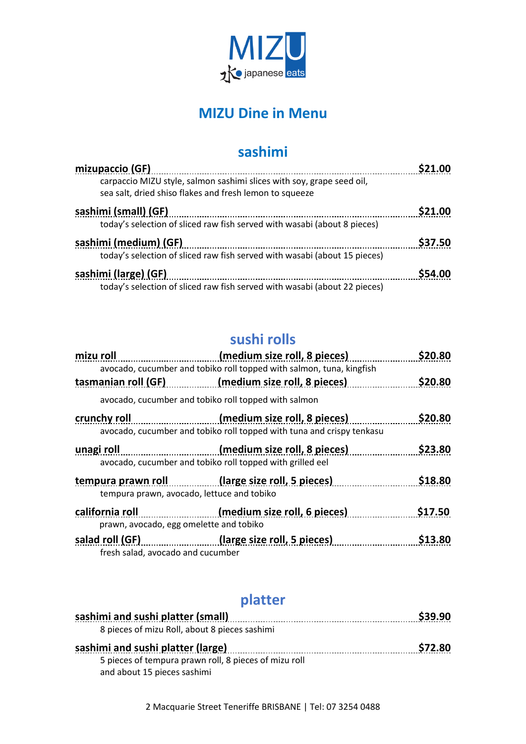

## **MIZU Dine in Menu**

### **sashimi**

| mizupaccio (GF)                                                                                                                  |                    |
|----------------------------------------------------------------------------------------------------------------------------------|--------------------|
| carpaccio MIZU style, salmon sashimi slices with soy, grape seed oil,<br>sea salt, dried shiso flakes and fresh lemon to squeeze |                    |
| sashimi (small) (GF)                                                                                                             | S <sub>21.00</sub> |
| today's selection of sliced raw fish served with wasabi (about 8 pieces)                                                         |                    |
| sashimi (medium) (GF)                                                                                                            | \$37.50            |
| today's selection of sliced raw fish served with wasabi (about 15 pieces)                                                        |                    |
| sashimi (large) (GF)                                                                                                             | <b>S54.00</b>      |
| today's selection of sliced raw fish served with wasabi (about 22 pieces)                                                        |                    |

# **sushi rolls**

| mizu roll  |                                                                                                                                                                                                                                                                                               | (medium size roll, 8 pieces)                                                                          | <b>S20.80</b> |
|------------|-----------------------------------------------------------------------------------------------------------------------------------------------------------------------------------------------------------------------------------------------------------------------------------------------|-------------------------------------------------------------------------------------------------------|---------------|
|            |                                                                                                                                                                                                                                                                                               | avocado, cucumber and tobiko roll topped with salmon, tuna, kingfish                                  |               |
|            |                                                                                                                                                                                                                                                                                               | tasmanian roll (GF) (medium size roll, 8 pieces)                                                      | \$20.80       |
|            | avocado, cucumber and tobiko roll topped with salmon                                                                                                                                                                                                                                          |                                                                                                       |               |
|            | crunchy roll                                                                                                                                                                                                                                                                                  | (medium size roll, 8 pieces)<br>avocado, cucumber and tobiko roll topped with tuna and crispy tenkasu | \$20.80       |
| unagi roll | en de la provincia de la provincia de la provincia de la provincia de la provincia de la provincia de la provi<br>La provincia de la provincia de la provincia de la provincia de la provincia de la provincia de la provincia d<br>avocado, cucumber and tobiko roll topped with grilled eel | (medium size roll, 8 pieces)                                                                          | \$23.80       |
|            | tempura prawn, avocado, lettuce and tobiko                                                                                                                                                                                                                                                    | tempura prawn roll (large size roll, 5 pieces)                                                        | \$18.80       |
|            | california roll<br>prawn, avocado, egg omelette and tobiko                                                                                                                                                                                                                                    | (medium size roll, 6 pieces)                                                                          | \$17.50       |
|            | fresh salad, avocado and cucumber                                                                                                                                                                                                                                                             | salad roll (GF) (large size roll, 5 pieces)                                                           | \$13.80       |

# **platter**

| sashimi and sushi platter (small)                     | S39.90        |
|-------------------------------------------------------|---------------|
| 8 pieces of mizu Roll, about 8 pieces sashimi         |               |
| sashimi and sushi platter (large)                     | <b>S72.80</b> |
| 5 pieces of tempura prawn roll, 8 pieces of mizu roll |               |
| and about 15 pieces sashimi                           |               |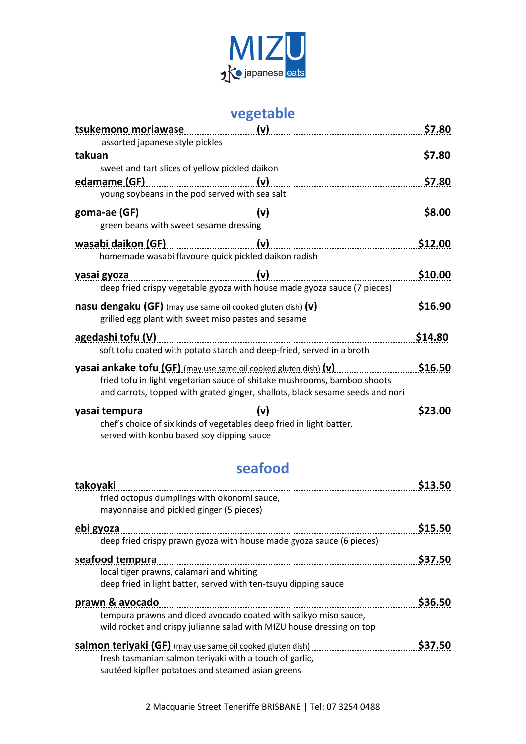

## **vegetable**

|        | tsukemono moriawase<br>assorted japanese style pickles                                                                                                                                                                        | (v)     | \$7.80  |
|--------|-------------------------------------------------------------------------------------------------------------------------------------------------------------------------------------------------------------------------------|---------|---------|
| takuan | sweet and tart slices of yellow pickled daikon                                                                                                                                                                                |         | \$7.80  |
|        | edamame (GF)<br>young soybeans in the pod served with sea salt                                                                                                                                                                | (v)     | \$7.80  |
|        | goma-ae (GF)<br>green beans with sweet sesame dressing                                                                                                                                                                        |         | \$8.00  |
|        | wasabi daikon (GF)<br>homemade wasabi flavoure quick pickled daikon radish                                                                                                                                                    | (v)     | \$12.00 |
|        | yasai gyoza<br>deep fried crispy vegetable gyoza with house made gyoza sauce (7 pieces)                                                                                                                                       | (v)<br> | \$10.00 |
|        | nasu dengaku (GF) (may use same oil cooked gluten dish) (v)<br>grilled egg plant with sweet miso pastes and sesame                                                                                                            |         | \$16.90 |
|        | agedashi tofu (V)<br>soft tofu coated with potato starch and deep-fried, served in a broth                                                                                                                                    |         | \$14.80 |
|        | yasai ankake tofu (GF) (may use same oil cooked gluten dish) (v)<br>fried tofu in light vegetarian sauce of shitake mushrooms, bamboo shoots<br>and carrots, topped with grated ginger, shallots, black sesame seeds and nori |         | \$16.50 |
|        | vasai tempura<br>chef's choice of six kinds of vegetables deep fried in light batter,<br>served with konbu based soy dipping sauce                                                                                            | (v)     | \$23.00 |

#### **seafood**

| takoyaki                                                              | \$13.50       |
|-----------------------------------------------------------------------|---------------|
| fried octopus dumplings with okonomi sauce,                           |               |
| mayonnaise and pickled ginger (5 pieces)                              |               |
| ebi gyoza                                                             | \$15.50       |
| deep fried crispy prawn gyoza with house made gyoza sauce (6 pieces)  |               |
| seafood tempura                                                       | \$37.50       |
| local tiger prawns, calamari and whiting                              |               |
| deep fried in light batter, served with ten-tsuyu dipping sauce       |               |
| prawn & avocado                                                       | \$36.50       |
| tempura prawns and diced avocado coated with saikyo miso sauce,       |               |
| wild rocket and crispy julianne salad with MIZU house dressing on top |               |
| salmon teriyaki (GF) (may use same oil cooked gluten dish)            | <b>S37.50</b> |
| fresh tasmanian salmon teriyaki with a touch of garlic,               |               |
| sautéed kipfler potatoes and steamed asian greens                     |               |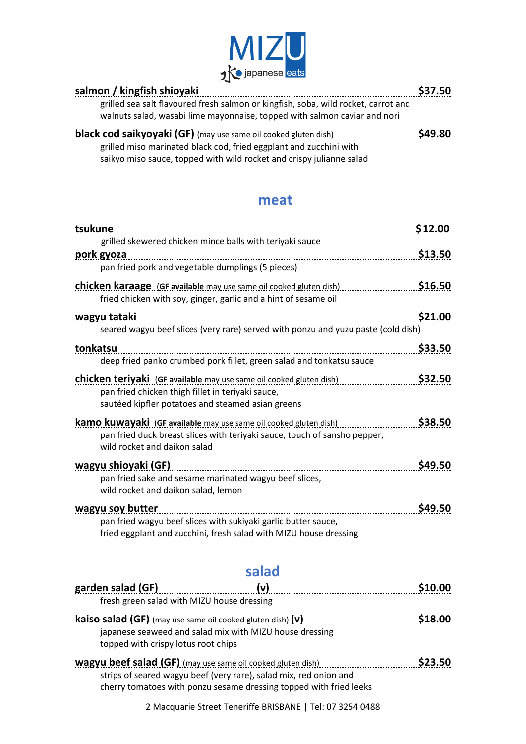

| salmon / kingfish shioyaki                                                                                                                                      | \$37.50 |
|-----------------------------------------------------------------------------------------------------------------------------------------------------------------|---------|
| grilled sea salt flavoured fresh salmon or kingfish, soba, wild rocket, carrot and<br>walnuts salad, wasabi lime mayonnaise, topped with salmon caviar and nori |         |
| <b>black cod saikyoyaki (GF)</b> (may use same oil cooked gluten dish)                                                                                          | \$49.80 |
| grilled miso marinated black cod, fried eggplant and zucchini with                                                                                              |         |
| saikyo miso sauce, topped with wild rocket and crispy julianne salad                                                                                            |         |

#### **meat**

| tsukune<br>\$12.00                                                                |               |
|-----------------------------------------------------------------------------------|---------------|
| grilled skewered chicken mince balls with teriyaki sauce                          |               |
| <u>pork gyoza</u>                                                                 | \$13.50       |
| pan fried pork and vegetable dumplings (5 pieces)                                 |               |
| chicken karaage (GF available may use same oil cooked gluten dish)                | \$16.50       |
| fried chicken with soy, ginger, garlic and a hint of sesame oil                   |               |
| wagyu tataki                                                                      | \$21.00       |
| seared wagyu beef slices (very rare) served with ponzu and yuzu paste (cold dish) |               |
| tonkatsu                                                                          | \$33.50       |
| deep fried panko crumbed pork fillet, green salad and tonkatsu sauce              |               |
| <b>chicken teriyaki</b> (GF available may use same oil cooked gluten dish)        | \$32.50       |
| pan fried chicken thigh fillet in teriyaki sauce,                                 |               |
| sautéed kipfler potatoes and steamed asian greens                                 |               |
| <b>kamo kuwayaki</b> (GF available may use same oil cooked gluten dish)           | \$38.50       |
| pan fried duck breast slices with teriyaki sauce, touch of sansho pepper,         |               |
| wild rocket and daikon salad                                                      |               |
| wagyu shioyaki (GF)                                                               | <b>S49.50</b> |
| pan fried sake and sesame marinated wagyu beef slices,                            |               |
| wild rocket and daikon salad, lemon                                               |               |
| wagyu soy butter                                                                  | <b>S49.50</b> |
| pan fried wagyu beef slices with sukiyaki garlic butter sauce,                    |               |
| fried eggplant and zucchini, fresh salad with MIZU house dressing                 |               |

### **salad**

| garden salad (GF)                                                   | (v)                                                                | \$10.00            |
|---------------------------------------------------------------------|--------------------------------------------------------------------|--------------------|
| fresh green salad with MIZU house dressing                          |                                                                    |                    |
| <b>kaiso salad (GF)</b> (may use same oil cooked gluten dish) $(v)$ |                                                                    | \$18.00            |
|                                                                     | japanese seaweed and salad mix with MIZU house dressing            |                    |
| topped with crispy lotus root chips                                 |                                                                    |                    |
| wagyu beef salad (GF) (may use same oil cooked gluten dish)         |                                                                    | S <sub>23.50</sub> |
|                                                                     | strips of seared wagyu beef (very rare), salad mix, red onion and  |                    |
|                                                                     | cherry tomatoes with ponzu sesame dressing topped with fried leeks |                    |